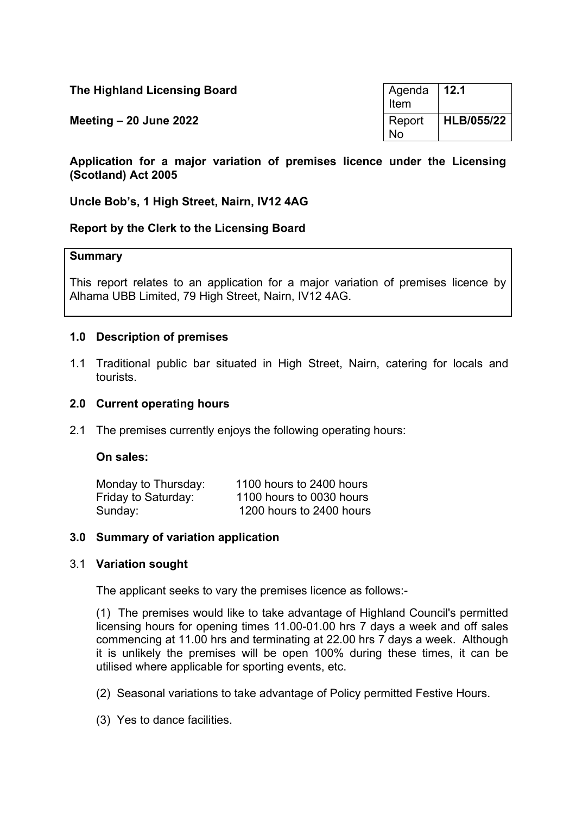| The Highland Licensing Board | Agenda 12.1<br>Item |            |
|------------------------------|---------------------|------------|
| Meeting $-20$ June 2022      | Report<br><b>No</b> | HLB/055/22 |

**Application for a major variation of premises licence under the Licensing (Scotland) Act 2005**

**Uncle Bob's, 1 High Street, Nairn, IV12 4AG**

# **Report by the Clerk to the Licensing Board**

#### **Summary**

This report relates to an application for a major variation of premises licence by Alhama UBB Limited, 79 High Street, Nairn, IV12 4AG.

#### **1.0 Description of premises**

1.1 Traditional public bar situated in High Street, Nairn, catering for locals and tourists.

#### **2.0 Current operating hours**

2.1 The premises currently enjoys the following operating hours:

#### **On sales:**

| Monday to Thursday: | 1100 hours to 2400 hours |
|---------------------|--------------------------|
| Friday to Saturday: | 1100 hours to 0030 hours |
| Sunday:             | 1200 hours to 2400 hours |

#### **3.0 Summary of variation application**

#### 3.1 **Variation sought**

The applicant seeks to vary the premises licence as follows:-

(1) The premises would like to take advantage of Highland Council's permitted licensing hours for opening times 11.00-01.00 hrs 7 days a week and off sales commencing at 11.00 hrs and terminating at 22.00 hrs 7 days a week. Although it is unlikely the premises will be open 100% during these times, it can be utilised where applicable for sporting events, etc.

(2) Seasonal variations to take advantage of Policy permitted Festive Hours.

(3) Yes to dance facilities.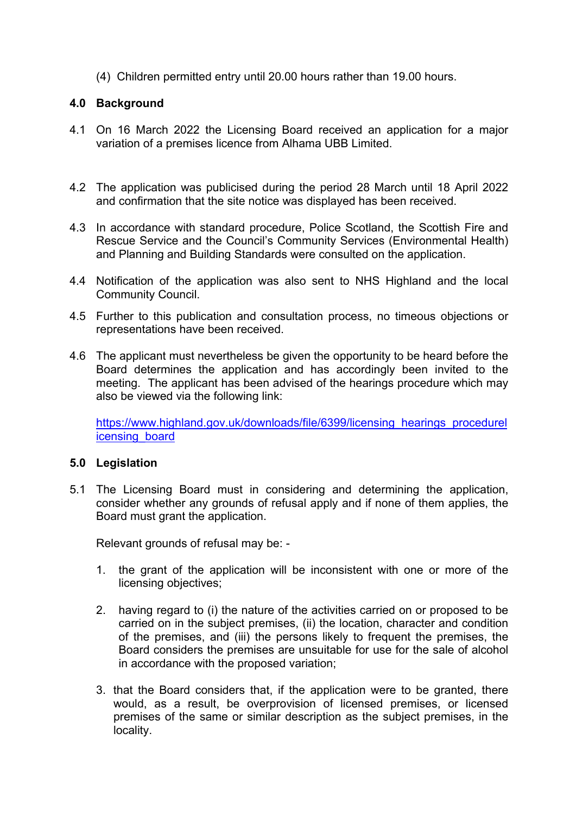(4) Children permitted entry until 20.00 hours rather than 19.00 hours.

# **4.0 Background**

- 4.1 On 16 March 2022 the Licensing Board received an application for a major variation of a premises licence from Alhama UBB Limited.
- 4.2 The application was publicised during the period 28 March until 18 April 2022 and confirmation that the site notice was displayed has been received.
- 4.3 In accordance with standard procedure, Police Scotland, the Scottish Fire and Rescue Service and the Council's Community Services (Environmental Health) and Planning and Building Standards were consulted on the application.
- 4.4 Notification of the application was also sent to NHS Highland and the local Community Council.
- 4.5 Further to this publication and consultation process, no timeous objections or representations have been received.
- 4.6 The applicant must nevertheless be given the opportunity to be heard before the Board determines the application and has accordingly been invited to the meeting. The applicant has been advised of the hearings procedure which may also be viewed via the following link:

[https://www.highland.gov.uk/downloads/file/6399/licensing\\_hearings\\_procedurel](https://www.highland.gov.uk/downloads/file/6399/licensing_hearings_procedurelicensing_board) [icensing\\_board](https://www.highland.gov.uk/downloads/file/6399/licensing_hearings_procedurelicensing_board)

# **5.0 Legislation**

5.1 The Licensing Board must in considering and determining the application, consider whether any grounds of refusal apply and if none of them applies, the Board must grant the application.

Relevant grounds of refusal may be: -

- 1. the grant of the application will be inconsistent with one or more of the licensing objectives;
- 2. having regard to (i) the nature of the activities carried on or proposed to be carried on in the subject premises, (ii) the location, character and condition of the premises, and (iii) the persons likely to frequent the premises, the Board considers the premises are unsuitable for use for the sale of alcohol in accordance with the proposed variation;
- 3. that the Board considers that, if the application were to be granted, there would, as a result, be overprovision of licensed premises, or licensed premises of the same or similar description as the subject premises, in the locality.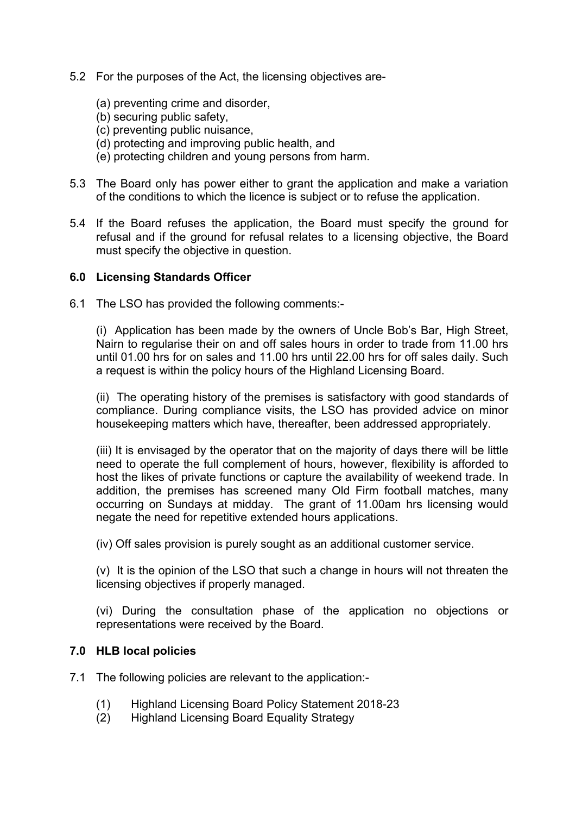- 5.2 For the purposes of the Act, the licensing objectives are-
	- (a) preventing crime and disorder,
	- (b) securing public safety,
	- (c) preventing public nuisance,
	- (d) protecting and improving public health, and
	- (e) protecting children and young persons from harm.
- 5.3 The Board only has power either to grant the application and make a variation of the conditions to which the licence is subject or to refuse the application.
- 5.4 If the Board refuses the application, the Board must specify the ground for refusal and if the ground for refusal relates to a licensing objective, the Board must specify the objective in question.

## **6.0 Licensing Standards Officer**

6.1 The LSO has provided the following comments:-

(i) Application has been made by the owners of Uncle Bob's Bar, High Street, Nairn to regularise their on and off sales hours in order to trade from 11.00 hrs until 01.00 hrs for on sales and 11.00 hrs until 22.00 hrs for off sales daily. Such a request is within the policy hours of the Highland Licensing Board.

(ii) The operating history of the premises is satisfactory with good standards of compliance. During compliance visits, the LSO has provided advice on minor housekeeping matters which have, thereafter, been addressed appropriately.

(iii) It is envisaged by the operator that on the majority of days there will be little need to operate the full complement of hours, however, flexibility is afforded to host the likes of private functions or capture the availability of weekend trade. In addition, the premises has screened many Old Firm football matches, many occurring on Sundays at midday. The grant of 11.00am hrs licensing would negate the need for repetitive extended hours applications.

(iv) Off sales provision is purely sought as an additional customer service.

(v) It is the opinion of the LSO that such a change in hours will not threaten the licensing objectives if properly managed.

(vi) During the consultation phase of the application no objections or representations were received by the Board.

# **7.0 HLB local policies**

- 7.1 The following policies are relevant to the application:-
	- (1) Highland Licensing Board Policy Statement 2018-23
	- (2) Highland Licensing Board Equality Strategy